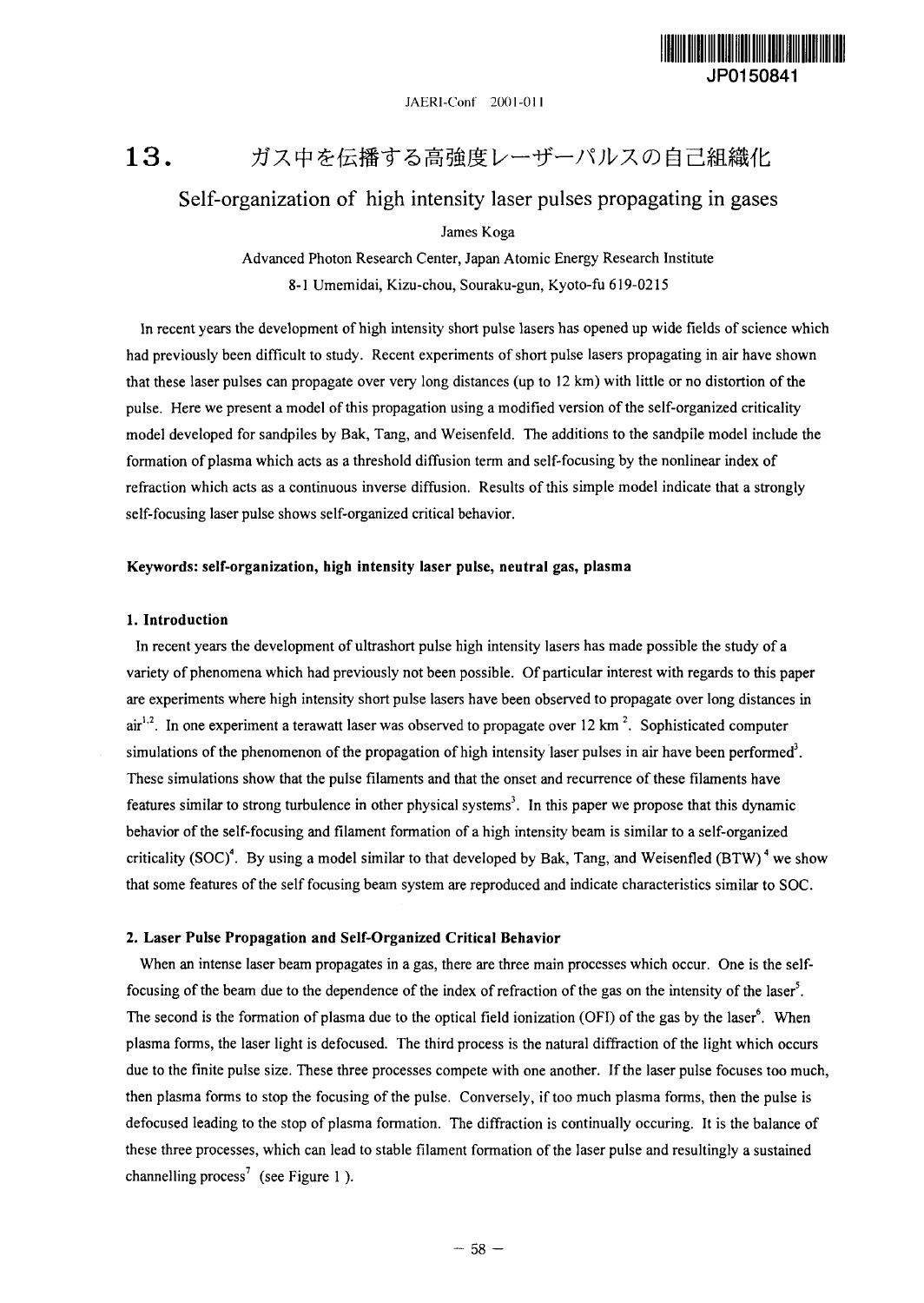

JAERI-Conf 2001-011

#### 13. ガス中を伝播する高強度レーザーパルスの自己組織化

## Self-organization of high intensity laser pulses propagating in gases

James Koga

Advanced Photon Research Center, Japan Atomic Energy Research Institute 8-1 Umemidai, Kizu-chou, Souraku-gun, Kyoto-fu 619-0215

In recent years the development of high intensity short pulse lasers has opened up wide fields of science which had previously been difficult to study. Recent experiments of short pulse lasers propagating in air have shown that these laser pulses can propagate over very long distances (up to 12 km) with little or no distortion of the pulse. Here we present a model of this propagation using a modified version of the self-organized criticality model developed for sandpiles by Bak, Tang, and Weisenfeld. The additions to the sandpile model include the formation of plasma which acts as a threshold diffusion term and self-focusing by the nonlinear index of refraction which acts as a continuous inverse diffusion. Results of this simple model indicate that a strongly self-focusing laser pulse shows self-organized critical behavior.

### **Keywords: self-organization, high intensity laser pulse, neutral gas, plasma**

#### **1. Introduction**

In recent years the development of ultrashort pulse high intensity lasers has made possible the study of a variety of phenomena which had previously not been possible. Of particular interest with regards to this paper are experiments where high intensity short pulse lasers have been observed to propagate over long distances in air<sup>1,2</sup>. In one experiment a terawatt laser was observed to propagate over 12 km<sup>2</sup>. Sophisticated computer simulations of the phenomenon of the propagation of high intensity laser pulses in air have been performed<sup>3</sup>. These simulations show that the pulse filaments and that the onset and recurrence of these filaments have features similar to strong turbulence in other physical systems<sup>3</sup>. In this paper we propose that this dynamic behavior of the self-focusing and filament formation of a high intensity beam is similar to a self-organized criticality (SOC)<sup>4</sup>. By using a model similar to that developed by Bak, Tang, and Weisenfled (BTW)<sup>4</sup> we show that some features of the self focusing beam system are reproduced and indicate characteristics similar to SOC.

#### **2. Laser Pulse Propagation and Self-Organized Critical Behavior**

When an intense laser beam propagates in a gas, there are three main processes which occur. One is the selffocusing of the beam due to the dependence of the index of refraction of the gas on the intensity of the laser<sup>5</sup>. The second is the formation of plasma due to the optical field ionization (OFI) of the gas by the laser<sup>6</sup>. When plasma forms, the laser light is defocused. The third process is the natural diffraction of the light which occurs due to the finite pulse size. These three processes compete with one another. If the laser pulse focuses too much, then plasma forms to stop the focusing of the pulse. Conversely, if too much plasma forms, then the pulse is defocused leading to the stop of plasma formation. The diffraction is continually occuring. It is the balance of these three processes, which can lead to stable filament formation of the laser pulse and resultingly a sustained channelling process<sup>7</sup> (see Figure 1).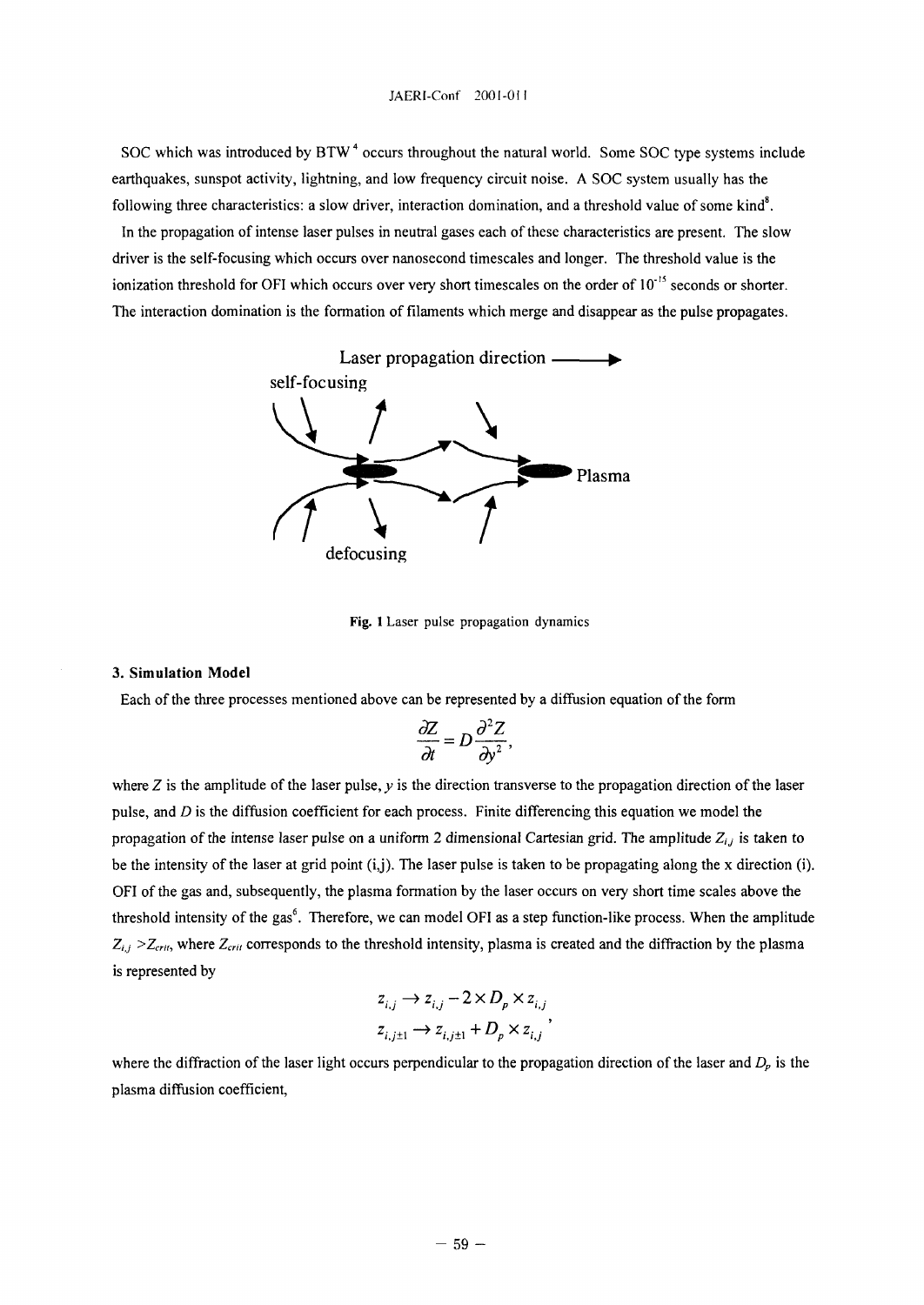SOC which was introduced by  $BTW^4$  occurs throughout the natural world. Some SOC type systems include earthquakes, sunspot activity, lightning, and low frequency circuit noise. A SOC system usually has the following three characteristics: a slow driver, interaction domination, and a threshold value of some kind<sup>8</sup>.

In the propagation of intense laser pulses in neutral gases each of these characteristics are present. The slow driver is the self-focusing which occurs over nanosecond timescales and longer. The threshold value is the ionization threshold for OFI which occurs over very short timescales on the order of 10<sup>-15</sup> seconds or shorter. The interaction domination is the formation of filaments which merge and disappear as the pulse propagates.



Fig. 1 Laser pulse propagation dynamics

### **3. Simulation Model**

Each of the three processes mentioned above can be represented by a diffusion equation of the form

$$
\frac{\partial Z}{\partial t} = D \frac{\partial^2 Z}{\partial y^2},
$$

where Z is the amplitude of the laser pulse, y is the direction transverse to the propagation direction of the laser pulse, and *D* is the diffusion coefficient for each process. Finite differencing this equation we model the propagation of the intense laser pulse on a uniform 2 dimensional Cartesian grid. The amplitude  $Z_{i,j}$  is taken to be the intensity of the laser at grid point (i,j). The laser pulse is taken to be propagating along the x direction (i). OFI of the gas and, subsequently, the plasma formation by the laser occurs on very short time scales above the threshold intensity of the gas<sup>6</sup>. Therefore, we can model OFI as a step function-like process. When the amplitude  $Z_{i,j}$  >  $Z_{\text{crit}}$ , where  $Z_{\text{crit}}$  corresponds to the threshold intensity, plasma is created and the diffraction by the plasma is represented by

$$
z_{i,j} \rightarrow z_{i,j} - 2 \times D_p \times z_{i,j}
$$
  

$$
z_{i,j\pm 1} \rightarrow z_{i,j\pm 1} + D_p \times z_{i,j}
$$
,

where the diffraction of the laser light occurs perpendicular to the propagation direction of the laser and *Dp* is the plasma diffusion coefficient,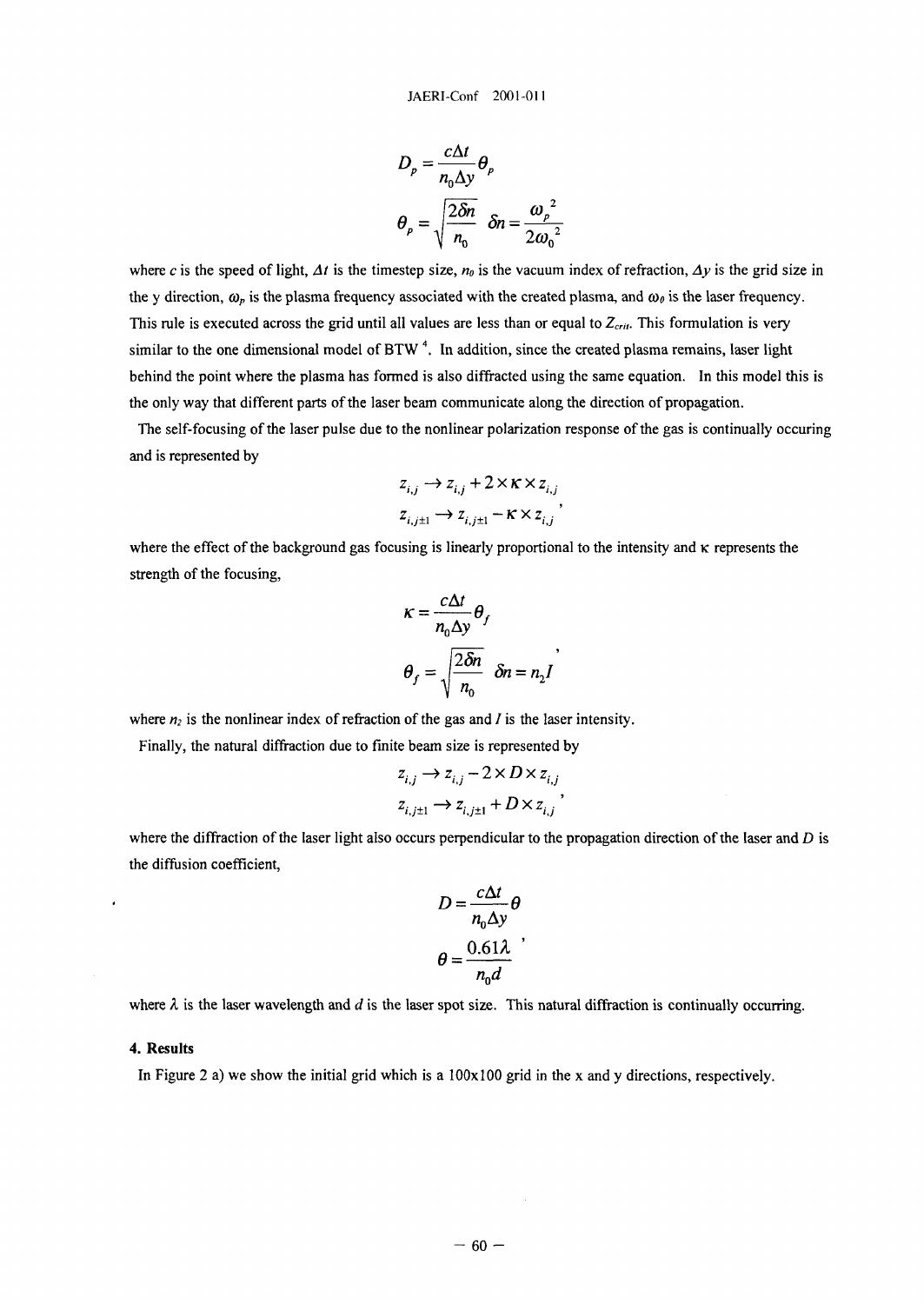$$
D_p = \frac{c\Delta t}{n_0 \Delta y} \theta_p
$$
  

$$
\theta_p = \sqrt{\frac{2\delta n}{n_0}} \quad \delta n = \frac{\omega_p^2}{2\omega_0^2}
$$

where *c* is the speed of light,  $\Delta t$  is the timestep size,  $n_0$  is the vacuum index of refraction,  $\Delta y$  is the grid size in the y direction,  $\omega_p$  is the plasma frequency associated with the created plasma, and  $\omega_\theta$  is the laser frequency. This rule is executed across the grid until all values are less than or equal to  $Z_{crit}$ . This formulation is very similar to the one dimensional model of BTW<sup>4</sup>. In addition, since the created plasma remains, laser light behind the point where the plasma has formed is also diffracted using the same equation. In this model this is the only way that different parts of the laser beam communicate along the direction of propagation.

The self-focusing of the laser pulse due to the nonlinear polarization response of the gas is continually occuring and is represented by

$$
z_{i,j} \rightarrow z_{i,j} + 2 \times \kappa \times z_{i,j}
$$

$$
z_{i,j\pm 1} \rightarrow z_{i,j\pm 1} - \kappa \times z_{i,j}
$$

where the effect of the background gas focusing is linearly proportional to the intensity and  $\kappa$  represents the strength of the focusing,

$$
\kappa = \frac{c\Delta t}{n_0 \Delta y} \theta_f
$$

$$
\theta_f = \sqrt{\frac{2\delta n}{n_0}} \quad \delta n = n_2 I
$$

where  $n_2$  is the nonlinear index of refraction of the gas and  $I$  is the laser intensity.

Finally, the natural diffraction due to finite beam size is represented by

$$
z_{i,j} \to z_{i,j} - 2 \times D \times z_{i,j}
$$
  

$$
z_{i,j\pm 1} \to z_{i,j\pm 1} + D \times z_{i,j}
$$
,

where the diffraction of the laser light also occurs perpendicular to the propagation direction of the laser and *D* is the diffusion coefficient,

$$
D = \frac{c\Delta t}{n_0 \Delta y} \theta
$$

$$
\theta = \frac{0.61\lambda}{n_0 d}
$$

where  $\lambda$  is the laser wavelength and  $d$  is the laser spot size. This natural diffraction is continually occurring.

#### **4. Results**

In Figure 2 a) we show the initial grid which is a  $100x100$  grid in the x and y directions, respectively.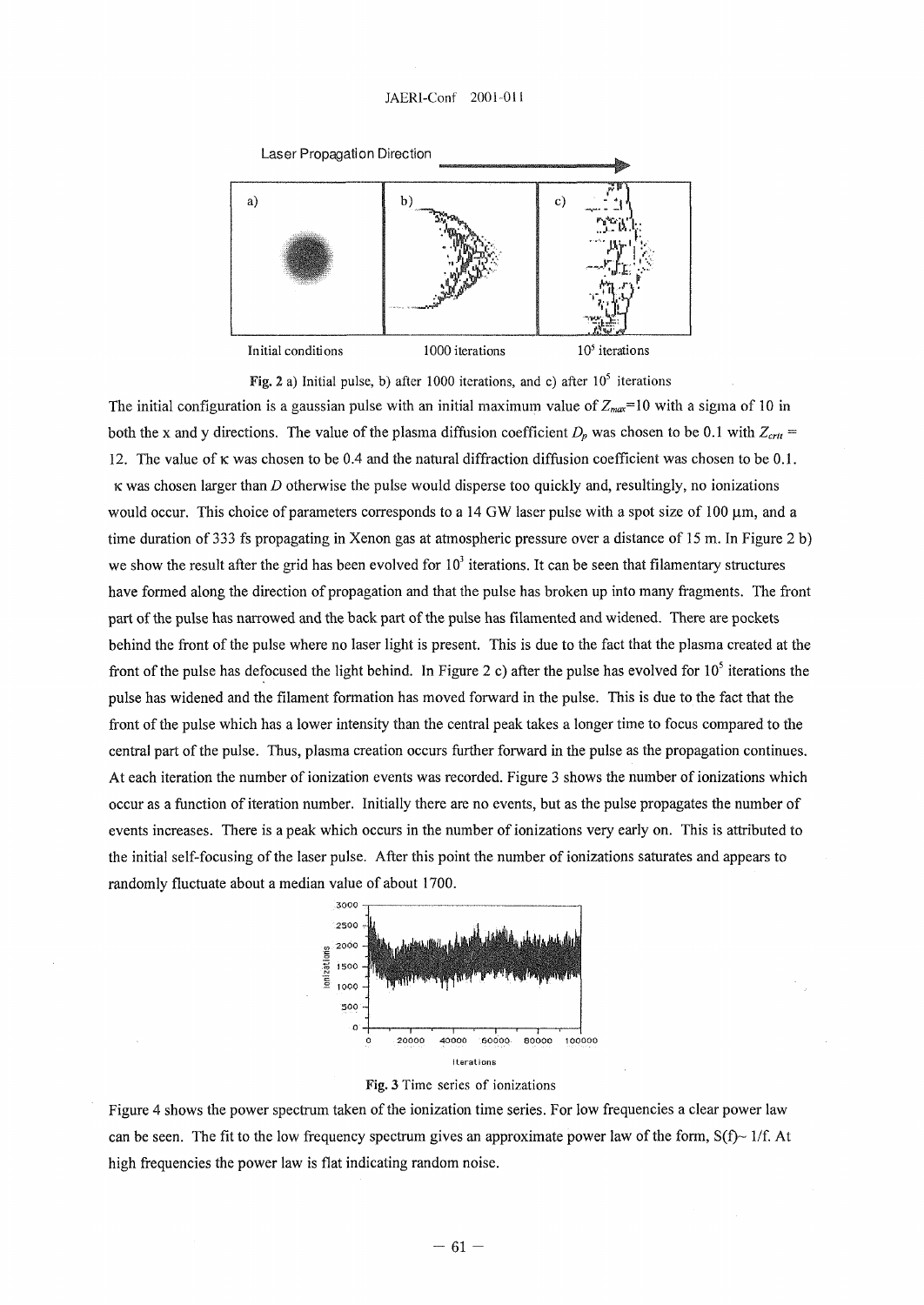#### JAERI-Conf 2001-01!



Fig. 2 a) Initial pulse, b) after 1000 iterations, and c) after  $10^5$  iterations

The initial configuration is a gaussian pulse with an initial maximum value of  $Z_{max}=10$  with a sigma of 10 in both the x and y directions. The value of the plasma diffusion coefficient  $D_p$  was chosen to be 0.1 with  $Z_{crit}$  = 12. The value of  $\kappa$  was chosen to be 0.4 and the natural diffraction diffusion coefficient was chosen to be 0.1. K was chosen larger than *D* otherwise the pulse would disperse too quickly and, resultingly, no ionizations would occur. This choice of parameters corresponds to a 14 GW laser pulse with a spot size of 100  $\mu$ m, and a time duration of 333 fs propagating in Xenon gas at atmospheric pressure over a distance of 15 m. In Figure 2 b) we show the result after the grid has been evolved for  $10<sup>3</sup>$  iterations. It can be seen that filamentary structures have formed along the direction of propagation and that the pulse has broken up into many fragments. The front part of the pulse has narrowed and the back part of the pulse has filamented and widened. There are pockets behind the front of the pulse where no laser light is present. This is due to the fact that the plasma created at the front of the pulse has defocused the light behind. In Figure 2 c) after the pulse has evolved for  $10^5$  iterations the pulse has widened and the filament formation has moved forward in the pulse. This is due to the fact that the front of the pulse which has a lower intensity than the central peak takes a longer time to focus compared to the central part of the pulse. Thus, plasma creation occurs further forward in the pulse as the propagation continues. At each iteration the number of ionization events was recorded. Figure 3 shows the number of ionizations which occur as a function of iteration number. Initially there are no events, but as the pulse propagates the number of events increases. There is a peak which occurs in the number of ionizations very early on. This is attributed to the initial self-focusing of the laser pulse. After this point the number of ionizations saturates and appears to randomly fluctuate about a median value of about 1700.



Fig. 3 Time series of ionizations

Figure 4 shows the power spectrum taken of the ionization time series. For low frequencies a clear power law can be seen. The fit to the low frequency spectrum gives an approximate power law of the form,  $S(f)$  1/f. At high frequencies the power law is flat indicating random noise.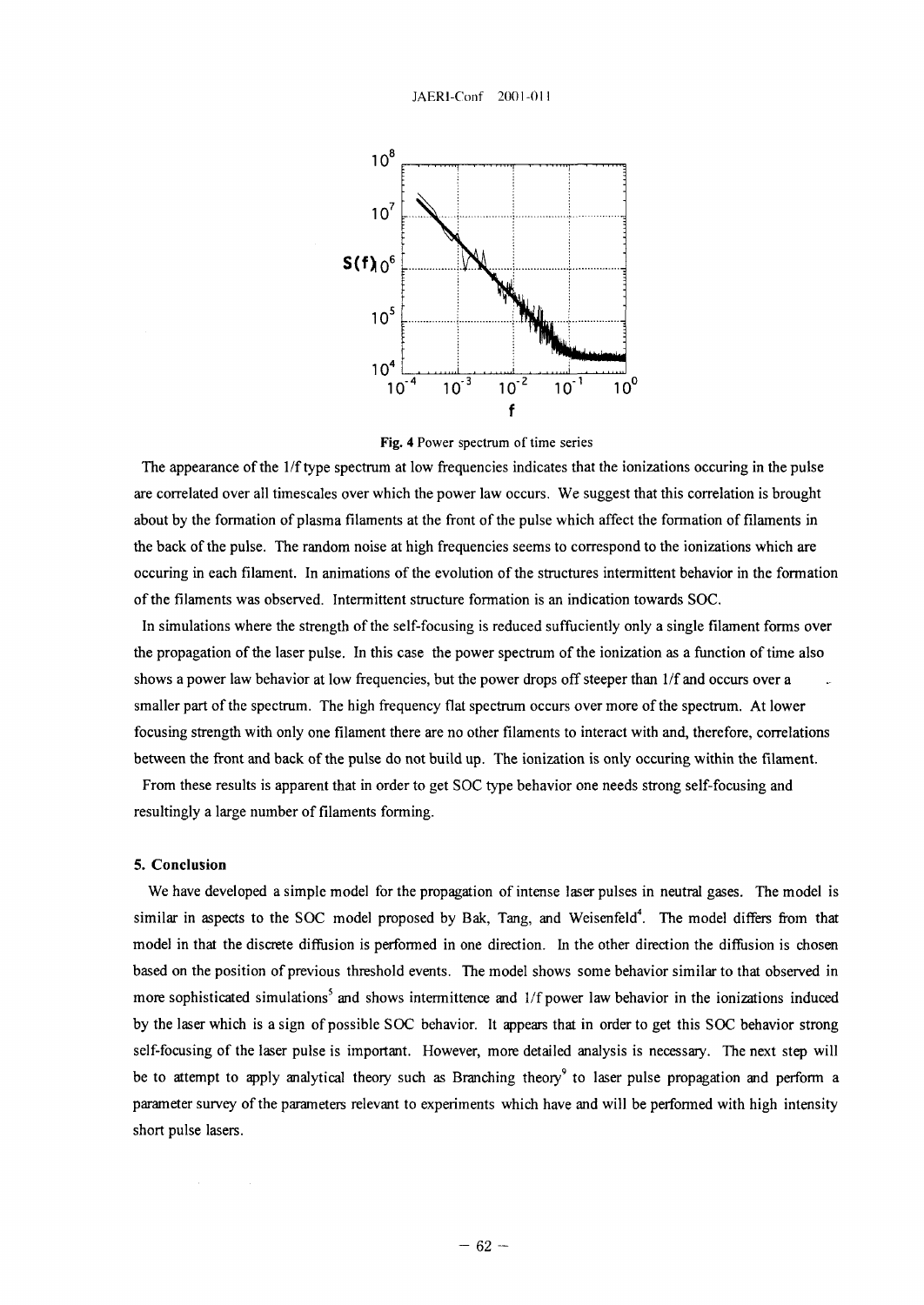

Fig. 4 Power spectrum of time series

The appearance of the 1/f type spectrum at low frequencies indicates that the ionizations occuring in the pulse are correlated over all timescales over which the power law occurs. We suggest that this correlation is brought about by the formation of plasma filaments at the front of the pulse which affect the formation of filaments in the back of the pulse. The random noise at high frequencies seems to correspond to the ionizations which are occuring in each filament. In animations of the evolution of the structures intermittent behavior in the formation of the filaments was observed. Intermittent structure formation is an indication towards SOC.

In simulations where the strength of the self-focusing is reduced suffuciently only a single filament forms over the propagation of the laser pulse. In this case the power spectrum of the ionization as a function of time also shows a power law behavior at low frequencies, but the power drops off steeper than 1/f and occurs over a smaller part of the spectrum. The high frequency flat spectrum occurs over more of the spectrum. At lower focusing strength with only one filament there are no other filaments to interact with and, therefore, correlations between the front and back of the pulse do not build up. The ionization is only occuring within the filament.

From these results is apparent that in order to get SOC type behavior one needs strong self-focusing and resultingly a large number of filaments forming.

#### **5. Conclusion**

We have developed a simple model for the propagation of intense laser pulses in neutral gases. The model is similar in aspects to the SOC model proposed by Bak, Tang, and Weisenfeld<sup>4</sup>. The model differs from that model in that the discrete diffusion is performed in one direction. In the other direction the diffusion is chosen based on the position of previous threshold events. The model shows some behavior similar to that observed in more sophisticated simulations<sup>5</sup> and shows intermittence and 1/f power law behavior in the ionizations induced by the laser which is a sign of possible SOC behavior. It appears that in order to get this SOC behavior strong self-focusing of the laser pulse is important. However, more detailed analysis is necessary. The next step will be to attempt to apply analytical theory such as Branching theory<sup>9</sup> to laser pulse propagation and perform a parameter survey of the parameters relevant to experiments which have and will be performed with high intensity short pulse lasers.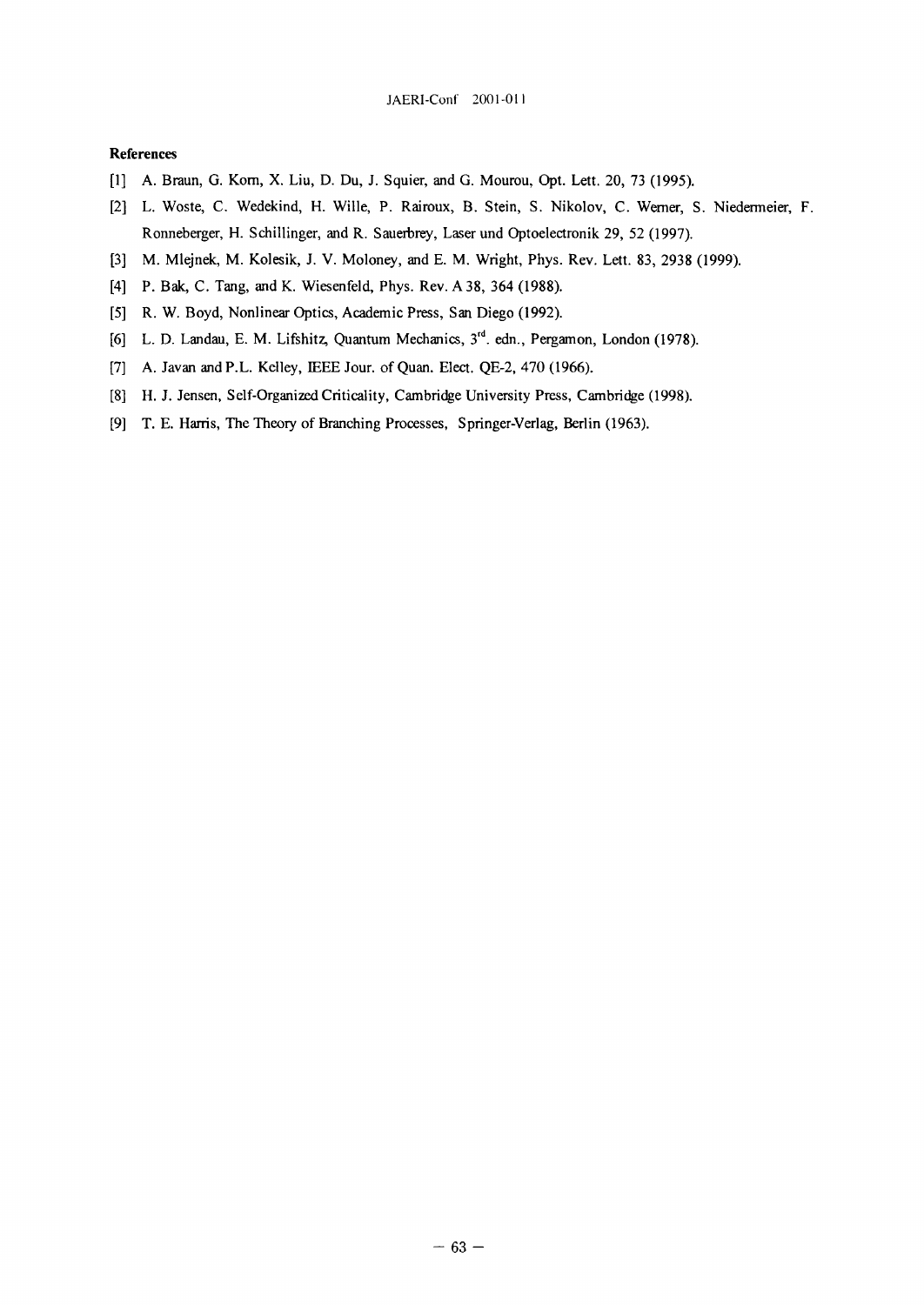#### **References**

- [1] A. Braun, G. Korn, X. Liu, D. Du, J. Squier, and G. Mourou, Opt. Lett. 20, 73 (1995).
- [2] L. Woste, C. Wedekind, H. Wille, P. Rairoux, В. Stein, S. Nikolov, С. Werner, S. Niedermeier, F. Ronneberger, H. Schillinger, and R. Sauerbrey, Laserund Optoelectronik 29, 52 (1997).
- [3] M. Mlejnek, M. Kolesik, J. V. Moloney, and E. M. Wright, Phys. Rev. Lett. 83, 2938 (1999).
- [4] P. Bak, C. Tang, and K. Wiesenfeld, Phys. Rev. A 38, 364 (1988).
- [5] R. W. Boyd, Nonlinear Optics, Academic Press, San Diego (1992).
- [6] L. D. Landau, E. M. Lifshitz, Quantum Mechanics, 3<sup>oo</sup>. edn., Pergamon, London (1978).
- [7] A. Javan and P.L. Kelley, IEEE Jour, of Quan. Elect. QE-2, 470 (1966).
- [8] H. J. Jensen, Self-Organized Criticality, Cambridge University Press, Cambridge (1998).
- [9] T. E. Harris, The Theory of Branching Processes, Springer-Verlag, Berlin (1963).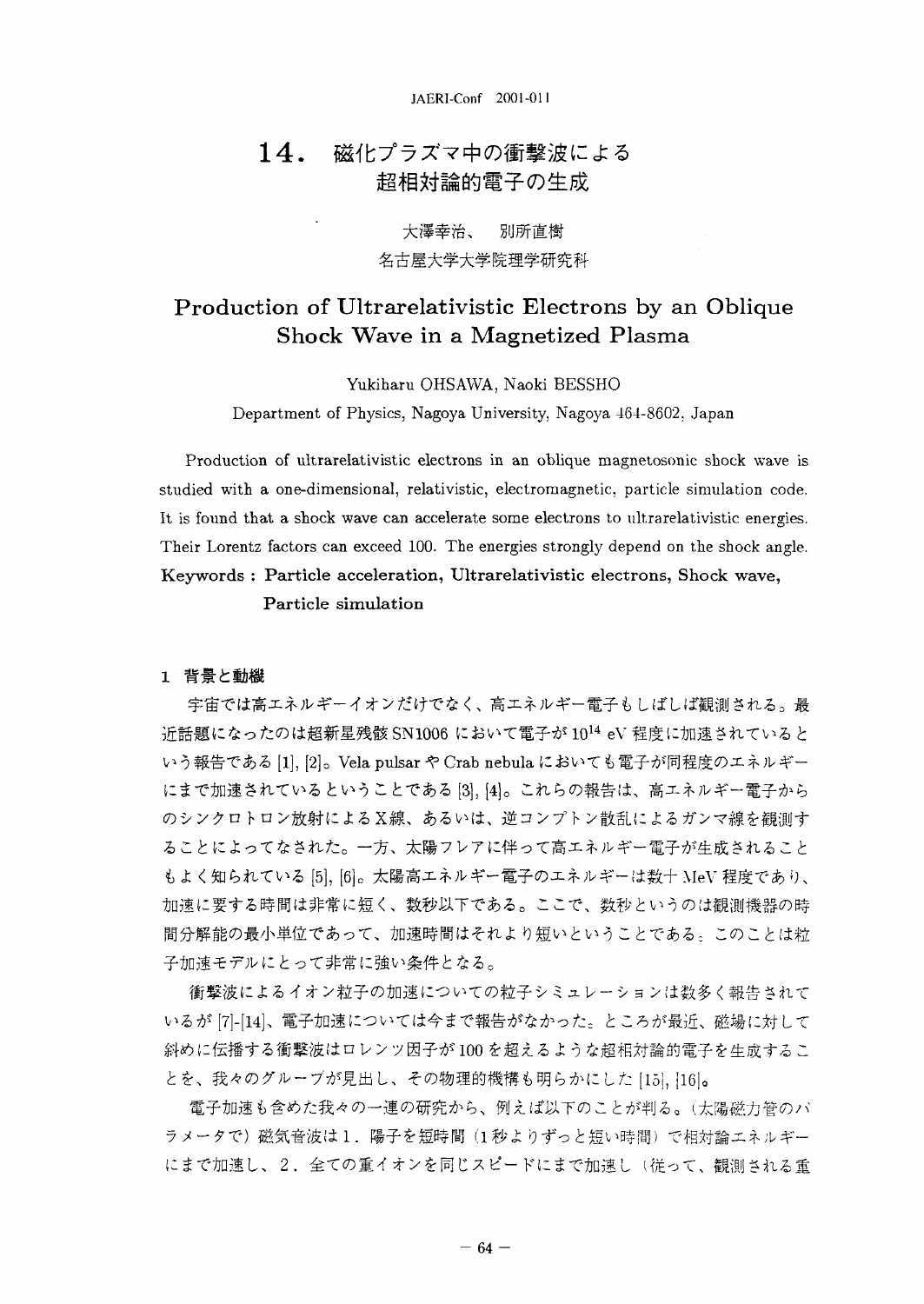## 14. 磁化プラズマ中の衝撃波による 超相対論的電子の生成

大澤幸治、 別所直樹 名古屋大学大学院理学研究科

# Production of Ultrarelativistic Electrons by an Oblique Shock Wave in a Magnetized Plasma

Yukiharu OHSAWA, Naoki BESSHO

Department of Physics, Nagoya University, Nagoya 464-8602, Japan

Production of ultrarelativistic electrons in an oblique magnetosonic shock wave is studied with a one-dimensional, relativistic, electromagnetic, particle simulation code. It is found that a shock wave can accelerate some electrons to ultrarelativistic energies. Their Lorentz factors can exceed 100. The energies strongly depend on the shock angle. Keywords : Particle acceleration, Ultrarelativistic electrons, Shock wave, Particle simulation

#### 1 背景と動機

宇宙では高エネルギーイオンだけでなく、高エネルギー電子もしばしば観測される。最 近話題になったのは超新星残骸 SN1006 において電子が  $10^{14}$  eV 程度に加速されていると [1], [2]。Vela pulsar や Crab nebula においても電子が同程度のエネルギー にまで加速されているということである [3], [4]。これらの報告は、高エネルギー電子から のシンクロトロン放射によるX線、あるいは、逆コンプトン散乱によるガンマ線を観測す ることによってなされた。一方、太陽フレアに伴って高エネルギー電子が生成されること もよく知られている [5], [6]。太陽高エネルギー電子のエネルギーは数十 MeV 程度であり、 加速に要する時間は非常に短く、数秒以下である。ここで、数秒というのは観測機器の時 間分解能の最小単位であって、加速時間はそれより短いということである。このことは粒 子加速モデルにとって非常に強い条件となる。

衝撃波によるイオン粒子の加速についての粒子シミュレーションは数多く報告されて いるが [7]-[14]、電子加速については今まで報告がなかった。ところが最近、磁場に対して 斜めに伝播する衝撃波はロレンツ因子が100を超えるような超相対論的電子を生成するこ とを、我々のグルーブが見出し、その物理的機構も明らかにした [15], [16]。

電子加速も含めた我々の一連の研究から、例えば以下のことが判る。(太陽磁力管のバ ラメータで)磁気音波は1. 陽子を短時間 (1秒よりずっと短い時間) で相対論エネルギー にまで加速し、2. 全ての重イオンを同じスピードにまで加速し(従って、観測される重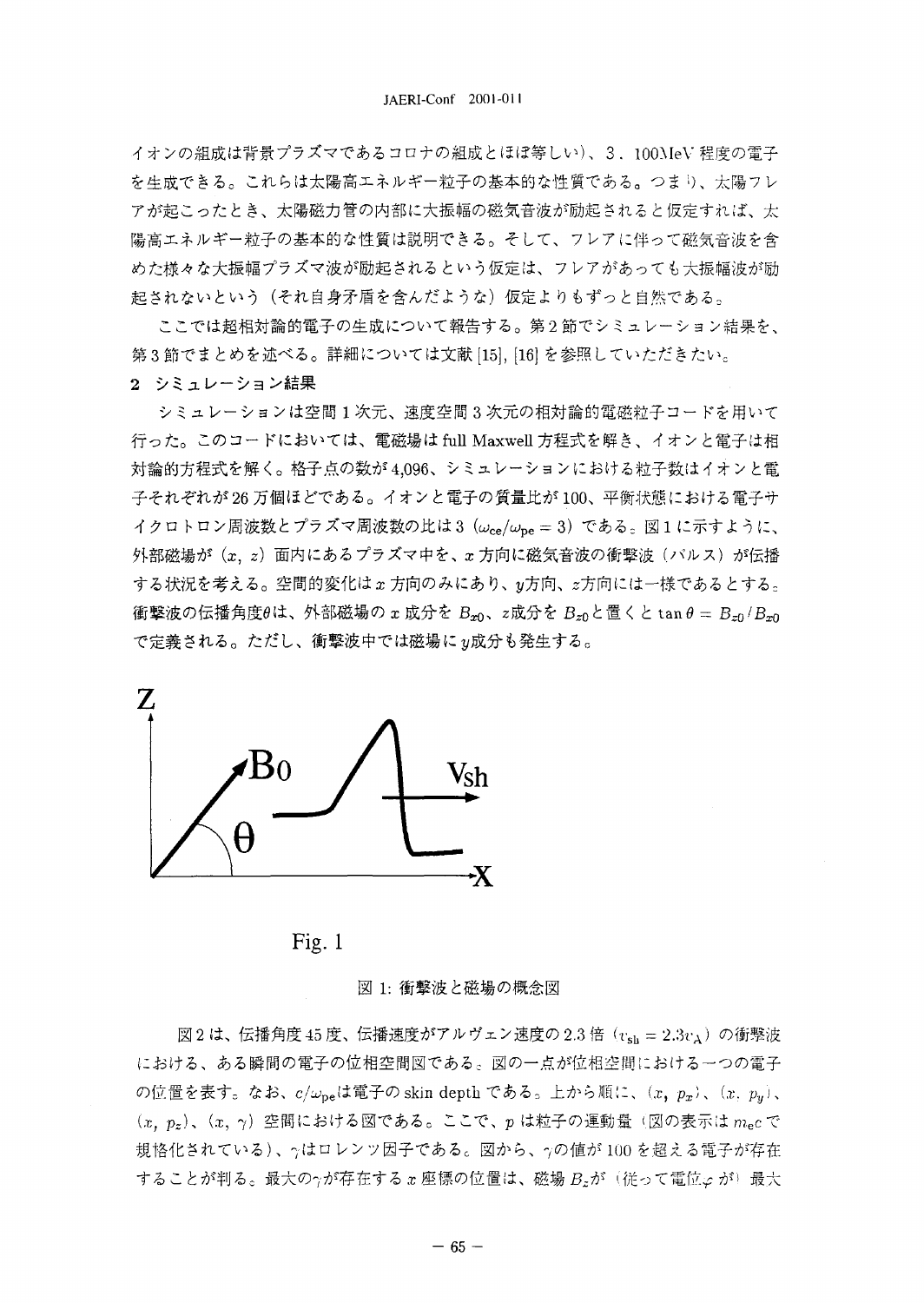イオンの組成は背景プラズマであるコロナの組成とほぼ等しい)、3. 100MeV程度の電子 を生成できる。これらは太陽高エネルギー粒子の基本的な性質である。つまり、太陽フレ アが起こったとき、太陽磁力管の内部に大振幅の磁気音波が励起されると仮定すれば、太 陽高エネルギー粒子の基本的な性質は説明できる。そして、フレアに伴って磁気音波を含 めた様々な大振幅プラズマ波が励起されるという仮定は、フレアがあっても大振幅波が励 起されないという(それ自身矛盾を含んだような)仮定よりもずっと自然である。

ここでは超相対論的電子の生成について報告する。第2節でシミュレーション結果を、 第3節でまとめを述べる。詳細については文献 [15], [16] を参照していただきたい。

2 シミュレーション結果

シミュレーションは空間1次元、速度空間3次元の相対論的電磁粒子コードを用いて 行った。このコードにおいては、電磁場は full Maxwell 方程式を解き、イオンと電子は相 対論的方程式を解く。格子点の数が4,096、シミュレーションにおける粒子数はイオンと電 子それぞれが26万個ほどである。イオンと電子の質量比が100、平衡状態における電子サ イクロトロン周波数とプラズマ周波数の比は3 (ωce/ωpe = 3) である。図1に示すように、 外部磁場が (x, z) 面内にあるプラズマ中を、x 方向に磁気音波の衝撃波 (バルス) が伝播 する状況を考える。空間的変化はx方向のみにあり、y方向、z方向には一様であるとする。 衝撃波の伝播角度 $\theta$ は、外部磁場の x 成分を Bm, z成分を Bmと置くと tan  $\theta = B_{\tau 0}/B_{\tau 0}$ で定義される。ただし、衝撃波中では磁場にy成分も発生する。



Fig.  $1$ 

図 1: 衝撃波と磁場の概念図

図2は、伝播角度45度、伝播速度がアルヴェン速度の2.3倍 ( $v_{sh} = 2.3v_A$ ) の衝撃波 における、ある瞬間の電子の位相空間図である。図の一点が位相空間における一つの電子 の位置を表す。なお、 $c/\omega_{\rm pe}$ は電子の skin depth である。上から順に、 $(x, p_x)$ 、 $(x, p_y)$ 、  $(x, p_z)$ ,  $(x, \gamma)$  空間における図である。ここで、pは粒子の運動量(図の表示は $m_e c$ で 規格化されている)、今はロレンツ因子である。図から、7の値が100を超える電子が存在 することが判る。最大の $\gamma$ が存在する x 座標の位置は、磁場  $B_z$ が (従って電位  $\varphi$  が) 最大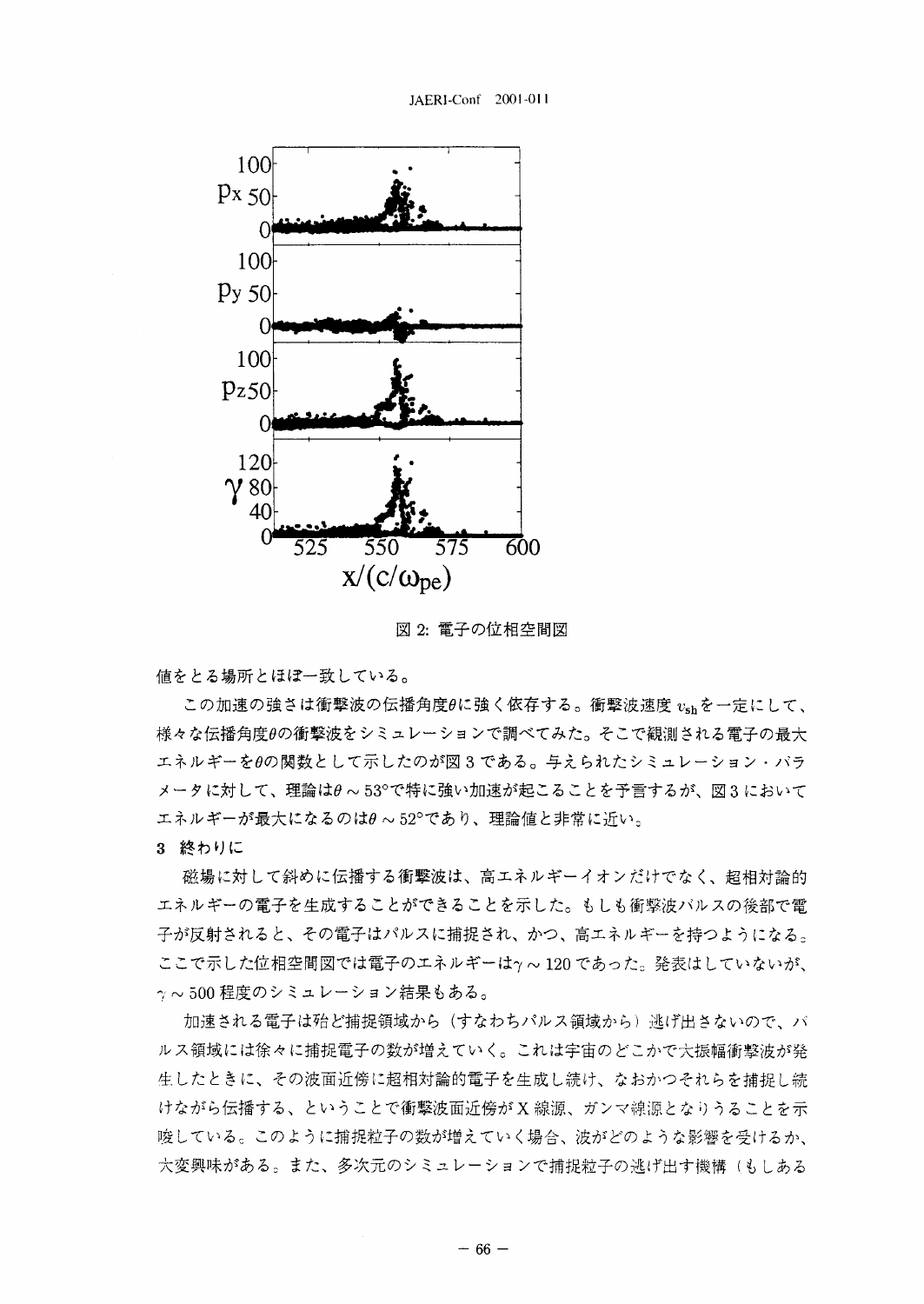

図 2: 電子の位相空間図

値をとる場所とほぼ一致している。

この加速の強さは衝撃波の伝播角度θに強く依存する。衝撃波速度 vshを一定にして、 様々な伝播角度 $\theta$ の衝撃波をシミュレーションで調べてみた。そこで観測される電子の最大 エネルギーをθの関数として示したのが図3である。与えられたシミュレーション·バラ メータに対して、理論はθ ~ 53°で特に強い加速が起こることを予言するが、図3において エネルギーが最大になるのはθ~52°であり、理論値と非常に近い。

3 終わりに

磁場に対して斜めに伝播する衝撃波は、高エネルギーイオンだけでなく、超相対論的 エネルギーの電子を生成することができることを示した。もしも衝撃波バルスの後部で電 子が反射されると、その電子はパルスに捕捉され、かつ、高エネルギーを持つようになる。 ここで示した位相空間図では電子のエネルギーは y ~ 120 であった。発表はしていないが、 ↑~500程度のシミュレーション結果もある。

加速される電子は殆ど捕捉領域から(すなわちパルス領域から)逃げ出さないので、バ ルス領域には徐々に捕捉電子の数が増えていく。これは宇宙のどこかで大振幅衝撃波が発 生したときに、その波面近傍に超相対論的電子を生成し続け、なおかつそれらを捕捉し続 けながら伝播する、ということで衝撃波面近傍が X 線源、ガンマ線源となりうることを示 唆している。このように捕捉粒子の数が増えていく場合、波がどのような影響を受けるか、 大変興味がある。また、多次元のシミュレーションで捕捉粒子の逃げ出す機構(もしある